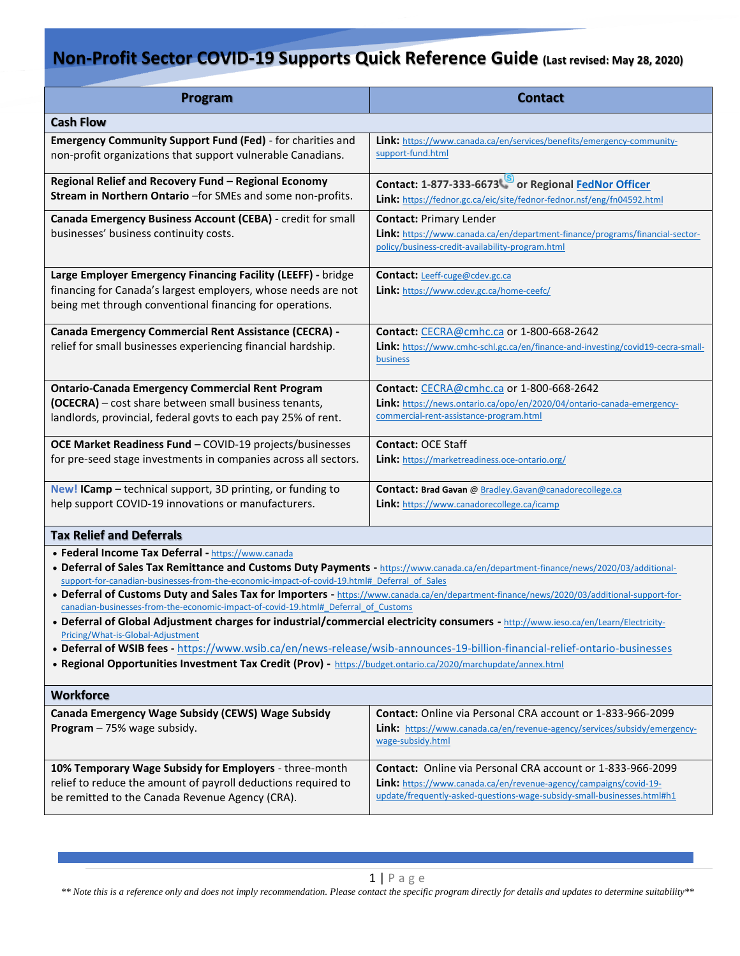| <b>Program</b>                                                                                                                                                                                                                                                                                                                                                                                                                                                                                                                                                                                                                                                                                                                                                                                                                                                                                                                                          | <b>Contact</b>                                                                                                                                                                                             |  |
|---------------------------------------------------------------------------------------------------------------------------------------------------------------------------------------------------------------------------------------------------------------------------------------------------------------------------------------------------------------------------------------------------------------------------------------------------------------------------------------------------------------------------------------------------------------------------------------------------------------------------------------------------------------------------------------------------------------------------------------------------------------------------------------------------------------------------------------------------------------------------------------------------------------------------------------------------------|------------------------------------------------------------------------------------------------------------------------------------------------------------------------------------------------------------|--|
| <b>Cash Flow</b>                                                                                                                                                                                                                                                                                                                                                                                                                                                                                                                                                                                                                                                                                                                                                                                                                                                                                                                                        |                                                                                                                                                                                                            |  |
| Emergency Community Support Fund (Fed) - for charities and<br>non-profit organizations that support vulnerable Canadians.                                                                                                                                                                                                                                                                                                                                                                                                                                                                                                                                                                                                                                                                                                                                                                                                                               | Link: https://www.canada.ca/en/services/benefits/emergency-community-<br>support-fund.html                                                                                                                 |  |
| Regional Relief and Recovery Fund - Regional Economy<br>Stream in Northern Ontario -for SMEs and some non-profits.                                                                                                                                                                                                                                                                                                                                                                                                                                                                                                                                                                                                                                                                                                                                                                                                                                      | Contact: 1-877-333-6673 or Regional FedNor Officer<br>Link: https://fednor.gc.ca/eic/site/fednor-fednor.nsf/eng/fn04592.html                                                                               |  |
| Canada Emergency Business Account (CEBA) - credit for small<br>businesses' business continuity costs.                                                                                                                                                                                                                                                                                                                                                                                                                                                                                                                                                                                                                                                                                                                                                                                                                                                   | <b>Contact: Primary Lender</b><br>Link: https://www.canada.ca/en/department-finance/programs/financial-sector-<br>policy/business-credit-availability-program.html                                         |  |
| Large Employer Emergency Financing Facility (LEEFF) - bridge<br>financing for Canada's largest employers, whose needs are not<br>being met through conventional financing for operations.                                                                                                                                                                                                                                                                                                                                                                                                                                                                                                                                                                                                                                                                                                                                                               | <b>Contact:</b> Leeff-cuge@cdev.gc.ca<br>Link: https://www.cdev.gc.ca/home-ceefc/                                                                                                                          |  |
| Canada Emergency Commercial Rent Assistance (CECRA) -<br>relief for small businesses experiencing financial hardship.                                                                                                                                                                                                                                                                                                                                                                                                                                                                                                                                                                                                                                                                                                                                                                                                                                   | Contact: CECRA@cmhc.ca or 1-800-668-2642<br>Link: https://www.cmhc-schl.gc.ca/en/finance-and-investing/covid19-cecra-small-<br>business                                                                    |  |
| <b>Ontario-Canada Emergency Commercial Rent Program</b><br>(OCECRA) - cost share between small business tenants,<br>landlords, provincial, federal govts to each pay 25% of rent.                                                                                                                                                                                                                                                                                                                                                                                                                                                                                                                                                                                                                                                                                                                                                                       | Contact: CECRA@cmhc.ca or 1-800-668-2642<br>Link: https://news.ontario.ca/opo/en/2020/04/ontario-canada-emergency-<br>commercial-rent-assistance-program.html                                              |  |
| OCE Market Readiness Fund - COVID-19 projects/businesses<br>for pre-seed stage investments in companies across all sectors.                                                                                                                                                                                                                                                                                                                                                                                                                                                                                                                                                                                                                                                                                                                                                                                                                             | <b>Contact: OCE Staff</b><br>Link: https://marketreadiness.oce-ontario.org/                                                                                                                                |  |
| New! ICamp - technical support, 3D printing, or funding to<br>help support COVID-19 innovations or manufacturers.                                                                                                                                                                                                                                                                                                                                                                                                                                                                                                                                                                                                                                                                                                                                                                                                                                       | Contact: Brad Gavan @ Bradley.Gavan@canadorecollege.ca<br><b>Link:</b> https://www.canadorecollege.ca/icamp                                                                                                |  |
| <b>Tax Relief and Deferrals</b>                                                                                                                                                                                                                                                                                                                                                                                                                                                                                                                                                                                                                                                                                                                                                                                                                                                                                                                         |                                                                                                                                                                                                            |  |
| • Federal Income Tax Deferral - https://www.canada<br>• Deferral of Sales Tax Remittance and Customs Duty Payments - https://www.canada.ca/en/department-finance/news/2020/03/additional-<br>support-for-canadian-businesses-from-the-economic-impact-of-covid-19.html# Deferral of Sales<br>• Deferral of Customs Duty and Sales Tax for Importers - https://www.canada.ca/en/department-finance/news/2020/03/additional-support-for-<br>canadian-businesses-from-the-economic-impact-of-covid-19.html# Deferral of Customs<br>• Deferral of Global Adjustment charges for industrial/commercial electricity consumers - http://www.ieso.ca/en/Learn/Electricity-<br>Pricing/What-is-Global-Adjustment<br>• Deferral of WSIB fees - https://www.wsib.ca/en/news-release/wsib-announces-19-billion-financial-relief-ontario-businesses<br>. Regional Opportunities Investment Tax Credit (Prov) - https://budget.ontario.ca/2020/marchupdate/annex.html |                                                                                                                                                                                                            |  |
| <b>Workforce</b>                                                                                                                                                                                                                                                                                                                                                                                                                                                                                                                                                                                                                                                                                                                                                                                                                                                                                                                                        |                                                                                                                                                                                                            |  |
| Canada Emergency Wage Subsidy (CEWS) Wage Subsidy<br>Program - 75% wage subsidy.                                                                                                                                                                                                                                                                                                                                                                                                                                                                                                                                                                                                                                                                                                                                                                                                                                                                        | <b>Contact:</b> Online via Personal CRA account or 1-833-966-2099<br>Link: https://www.canada.ca/en/revenue-agency/services/subsidy/emergency-<br>wage-subsidy.html                                        |  |
| 10% Temporary Wage Subsidy for Employers - three-month<br>relief to reduce the amount of payroll deductions required to<br>be remitted to the Canada Revenue Agency (CRA).                                                                                                                                                                                                                                                                                                                                                                                                                                                                                                                                                                                                                                                                                                                                                                              | Contact: Online via Personal CRA account or 1-833-966-2099<br>Link: https://www.canada.ca/en/revenue-agency/campaigns/covid-19-<br>update/frequently-asked-questions-wage-subsidy-small-businesses.html#h1 |  |

*\*\* Note this is a reference only and does not imply recommendation. Please contact the specific program directly for details and updates to determine suitability\*\**

[Grab your reader's attention with a great quote from the document or use this space to emphasize a key point.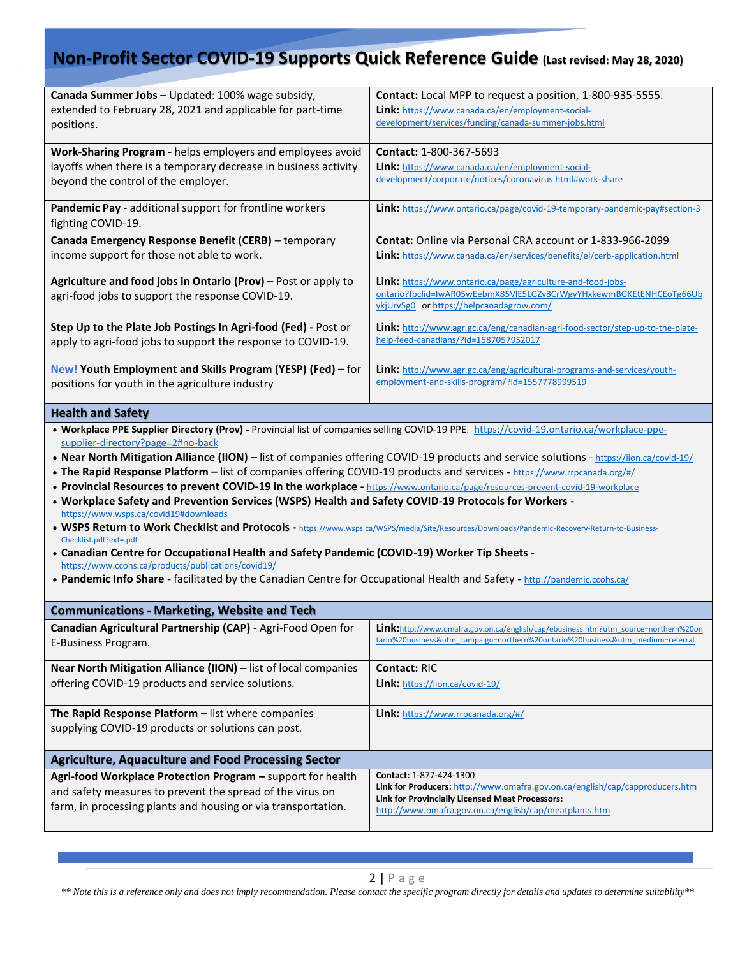| Canada Summer Jobs - Updated: 100% wage subsidy,<br>extended to February 28, 2021 and applicable for part-time<br>positions.                                                                                                                                                                                                                                                                                                                                                                                                                                                                                                                                                                                                                                                                                                                                                                                                                                                                                                                                                                                                                                                                             | Contact: Local MPP to request a position, 1-800-935-5555.<br>Link: https://www.canada.ca/en/employment-social-<br>development/services/funding/canada-summer-jobs.html                                                                 |  |
|----------------------------------------------------------------------------------------------------------------------------------------------------------------------------------------------------------------------------------------------------------------------------------------------------------------------------------------------------------------------------------------------------------------------------------------------------------------------------------------------------------------------------------------------------------------------------------------------------------------------------------------------------------------------------------------------------------------------------------------------------------------------------------------------------------------------------------------------------------------------------------------------------------------------------------------------------------------------------------------------------------------------------------------------------------------------------------------------------------------------------------------------------------------------------------------------------------|----------------------------------------------------------------------------------------------------------------------------------------------------------------------------------------------------------------------------------------|--|
| Work-Sharing Program - helps employers and employees avoid<br>layoffs when there is a temporary decrease in business activity<br>beyond the control of the employer.                                                                                                                                                                                                                                                                                                                                                                                                                                                                                                                                                                                                                                                                                                                                                                                                                                                                                                                                                                                                                                     | Contact: 1-800-367-5693<br>Link: https://www.canada.ca/en/employment-social-<br>development/corporate/notices/coronavirus.html#work-share                                                                                              |  |
| Pandemic Pay - additional support for frontline workers<br>fighting COVID-19.                                                                                                                                                                                                                                                                                                                                                                                                                                                                                                                                                                                                                                                                                                                                                                                                                                                                                                                                                                                                                                                                                                                            | Link: https://www.ontario.ca/page/covid-19-temporary-pandemic-pay#section-3                                                                                                                                                            |  |
| Canada Emergency Response Benefit (CERB) - temporary<br>income support for those not able to work.                                                                                                                                                                                                                                                                                                                                                                                                                                                                                                                                                                                                                                                                                                                                                                                                                                                                                                                                                                                                                                                                                                       | <b>Contat:</b> Online via Personal CRA account or 1-833-966-2099<br>Link: https://www.canada.ca/en/services/benefits/ei/cerb-application.html                                                                                          |  |
| Agriculture and food jobs in Ontario (Prov) - Post or apply to<br>agri-food jobs to support the response COVID-19.                                                                                                                                                                                                                                                                                                                                                                                                                                                                                                                                                                                                                                                                                                                                                                                                                                                                                                                                                                                                                                                                                       | Link: https://www.ontario.ca/page/agriculture-and-food-jobs-<br>ontario?fbclid=IwAR05wEebmX85VIE5LGZv8CrWgyYHxkewmBGKEtENHCEoTg66Ub<br>ykjUrv5g0 or https://helpcanadagrow.com/                                                        |  |
| Step Up to the Plate Job Postings In Agri-food (Fed) - Post or<br>apply to agri-food jobs to support the response to COVID-19.                                                                                                                                                                                                                                                                                                                                                                                                                                                                                                                                                                                                                                                                                                                                                                                                                                                                                                                                                                                                                                                                           | Link: http://www.agr.gc.ca/eng/canadian-agri-food-sector/step-up-to-the-plate-<br>help-feed-canadians/?id=1587057952017                                                                                                                |  |
| New! Youth Employment and Skills Program (YESP) (Fed) - for<br>positions for youth in the agriculture industry                                                                                                                                                                                                                                                                                                                                                                                                                                                                                                                                                                                                                                                                                                                                                                                                                                                                                                                                                                                                                                                                                           | Link: http://www.agr.gc.ca/eng/agricultural-programs-and-services/youth-<br>employment-and-skills-program/?id=1557778999519                                                                                                            |  |
| <b>Health and Safety</b>                                                                                                                                                                                                                                                                                                                                                                                                                                                                                                                                                                                                                                                                                                                                                                                                                                                                                                                                                                                                                                                                                                                                                                                 |                                                                                                                                                                                                                                        |  |
| . Workplace PPE Supplier Directory (Prov) - Provincial list of companies selling COVID-19 PPE. https://covid-19.ontario.ca/workplace-ppe-<br>supplier-directory?page=2#no-back<br>• Near North Mitigation Alliance (IION) - list of companies offering COVID-19 products and service solutions - https://iion.ca/covid-19/<br>. The Rapid Response Platform - list of companies offering COVID-19 products and services - https://www.rrpcanada.org/#/<br>• Provincial Resources to prevent COVID-19 in the workplace - https://www.ontario.ca/page/resources-prevent-covid-19-workplace<br>. Workplace Safety and Prevention Services (WSPS) Health and Safety COVID-19 Protocols for Workers -<br>https://www.wsps.ca/covid19#downloads<br>. WSPS Return to Work Checklist and Protocols - https://www.wsps.ca/WSPS/media/Site/Resources/Downloads/Pandemic-Recovery-Return-to-Business-<br>Checklist.pdf?ext=.pdf<br>• Canadian Centre for Occupational Health and Safety Pandemic (COVID-19) Worker Tip Sheets -<br>https://www.ccohs.ca/products/publications/covid19/<br>• Pandemic Info Share - facilitated by the Canadian Centre for Occupational Health and Safety - http://pandemic.ccohs.ca/ |                                                                                                                                                                                                                                        |  |
| <b>Communications - Marketing, Website and Tech</b>                                                                                                                                                                                                                                                                                                                                                                                                                                                                                                                                                                                                                                                                                                                                                                                                                                                                                                                                                                                                                                                                                                                                                      |                                                                                                                                                                                                                                        |  |
| E-Business Program.                                                                                                                                                                                                                                                                                                                                                                                                                                                                                                                                                                                                                                                                                                                                                                                                                                                                                                                                                                                                                                                                                                                                                                                      | Canadian Agricultural Partnership (CAP) - Agri-Food Open for   Link: http://www.omafra.gov.on.ca/english/cap/ebusiness.htm?utm source=northern%20on<br>tario%20business&utm_campaign=northern%20ontario%20business&utm_medium=referral |  |
| Near North Mitigation Alliance (IION) - list of local companies<br>offering COVID-19 products and service solutions.                                                                                                                                                                                                                                                                                                                                                                                                                                                                                                                                                                                                                                                                                                                                                                                                                                                                                                                                                                                                                                                                                     | Contact: RIC<br><b>Link:</b> https://iion.ca/covid-19/                                                                                                                                                                                 |  |
| The Rapid Response Platform - list where companies<br>supplying COVID-19 products or solutions can post.                                                                                                                                                                                                                                                                                                                                                                                                                                                                                                                                                                                                                                                                                                                                                                                                                                                                                                                                                                                                                                                                                                 | Link: https://www.rrpcanada.org/#/                                                                                                                                                                                                     |  |
| <b>Agriculture, Aquaculture and Food Processing Sector</b>                                                                                                                                                                                                                                                                                                                                                                                                                                                                                                                                                                                                                                                                                                                                                                                                                                                                                                                                                                                                                                                                                                                                               |                                                                                                                                                                                                                                        |  |
| Agri-food Workplace Protection Program - support for health<br>and safety measures to prevent the spread of the virus on<br>farm, in processing plants and housing or via transportation.                                                                                                                                                                                                                                                                                                                                                                                                                                                                                                                                                                                                                                                                                                                                                                                                                                                                                                                                                                                                                | Contact: 1-877-424-1300<br>Link for Producers: http://www.omafra.gov.on.ca/english/cap/capproducers.htm<br>Link for Provincially Licensed Meat Processors:<br>http://www.omafra.gov.on.ca/english/cap/meatplants.htm                   |  |

*\*\* Note this is a reference only and does not imply recommendation. Please contact the specific program directly for details and updates to determine suitability\*\**

[Grab your reader's attention with a great quote from the document or use this space to emphasize a key point.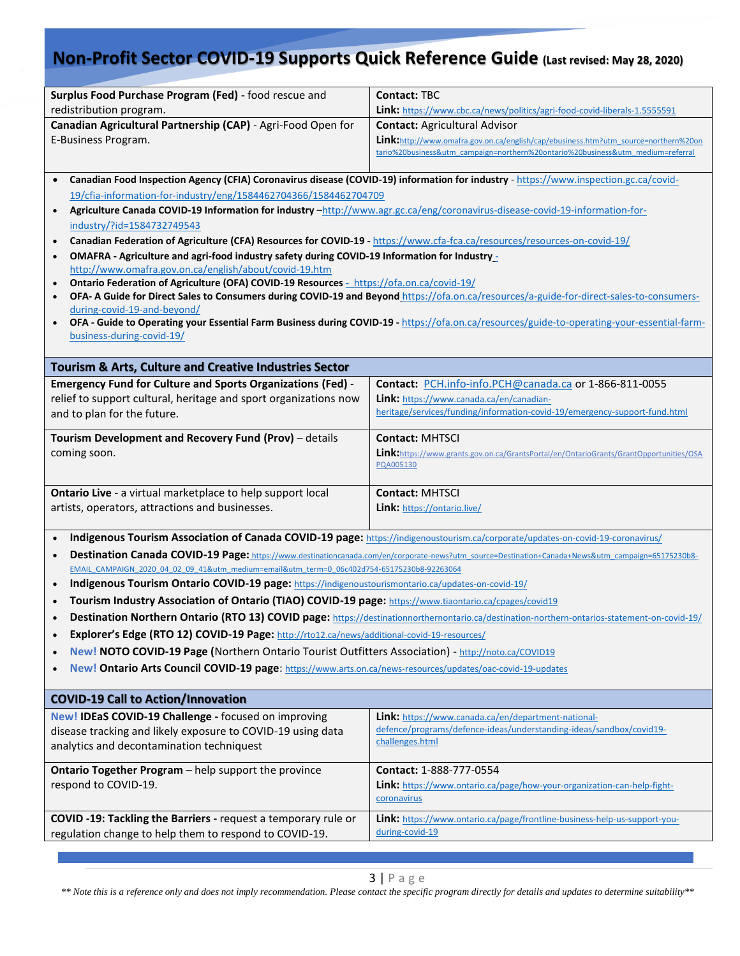| Surplus Food Purchase Program (Fed) - food rescue and<br>redistribution program.<br>Canadian Agricultural Partnership (CAP) - Agri-Food Open for<br>E-Business Program.<br>$\bullet$<br>19/cfia-information-for-industry/eng/1584462704366/1584462704709<br>Agriculture Canada COVID-19 Information for industry -http://www.agr.gc.ca/eng/coronavirus-disease-covid-19-information-for-<br>$\bullet$<br>industry/?id=1584732749543<br>Canadian Federation of Agriculture (CFA) Resources for COVID-19 - https://www.cfa-fca.ca/resources/resources-on-covid-19/<br>$\bullet$<br>OMAFRA - Agriculture and agri-food industry safety during COVID-19 Information for Industry_<br>$\bullet$<br>http://www.omafra.gov.on.ca/english/about/covid-19.htm<br>Ontario Federation of Agriculture (OFA) COVID-19 Resources - https://ofa.on.ca/covid-19/<br>$\bullet$<br>during-covid-19-and-beyond/<br>$\bullet$                                                                                                                                                                                                                  | <b>Contact: TBC</b><br>Link: https://www.cbc.ca/news/politics/agri-food-covid-liberals-1.5555591<br><b>Contact: Agricultural Advisor</b><br>Link:http://www.omafra.gov.on.ca/english/cap/ebusiness.htm?utm_source=northern%20on<br>tario%20business&utm_campaign=northern%20ontario%20business&utm_medium=referral<br>Canadian Food Inspection Agency (CFIA) Coronavirus disease (COVID-19) information for industry - https://www.inspection.gc.ca/covid-<br>OFA-A Guide for Direct Sales to Consumers during COVID-19 and Beyond https://ofa.on.ca/resources/a-guide-for-direct-sales-to-consumers-<br>OFA - Guide to Operating your Essential Farm Business during COVID-19 - https://ofa.on.ca/resources/guide-to-operating-your-essential-farm- |  |
|----------------------------------------------------------------------------------------------------------------------------------------------------------------------------------------------------------------------------------------------------------------------------------------------------------------------------------------------------------------------------------------------------------------------------------------------------------------------------------------------------------------------------------------------------------------------------------------------------------------------------------------------------------------------------------------------------------------------------------------------------------------------------------------------------------------------------------------------------------------------------------------------------------------------------------------------------------------------------------------------------------------------------------------------------------------------------------------------------------------------------|------------------------------------------------------------------------------------------------------------------------------------------------------------------------------------------------------------------------------------------------------------------------------------------------------------------------------------------------------------------------------------------------------------------------------------------------------------------------------------------------------------------------------------------------------------------------------------------------------------------------------------------------------------------------------------------------------------------------------------------------------|--|
| business-during-covid-19/                                                                                                                                                                                                                                                                                                                                                                                                                                                                                                                                                                                                                                                                                                                                                                                                                                                                                                                                                                                                                                                                                                  |                                                                                                                                                                                                                                                                                                                                                                                                                                                                                                                                                                                                                                                                                                                                                      |  |
| <b>Tourism &amp; Arts, Culture and Creative Industries Sector</b><br><b>Emergency Fund for Culture and Sports Organizations (Fed) -</b><br>relief to support cultural, heritage and sport organizations now<br>and to plan for the future.                                                                                                                                                                                                                                                                                                                                                                                                                                                                                                                                                                                                                                                                                                                                                                                                                                                                                 | Contact: PCH.info-info.PCH@canada.ca or 1-866-811-0055<br>Link: https://www.canada.ca/en/canadian-<br>heritage/services/funding/information-covid-19/emergency-support-fund.html                                                                                                                                                                                                                                                                                                                                                                                                                                                                                                                                                                     |  |
| Tourism Development and Recovery Fund (Prov) - details<br>coming soon.                                                                                                                                                                                                                                                                                                                                                                                                                                                                                                                                                                                                                                                                                                                                                                                                                                                                                                                                                                                                                                                     | <b>Contact: MHTSCI</b><br>Link: https://www.grants.gov.on.ca/GrantsPortal/en/OntarioGrants/GrantOpportunities/OSA<br>PQA005130                                                                                                                                                                                                                                                                                                                                                                                                                                                                                                                                                                                                                       |  |
| <b>Ontario Live</b> - a virtual marketplace to help support local<br>artists, operators, attractions and businesses.                                                                                                                                                                                                                                                                                                                                                                                                                                                                                                                                                                                                                                                                                                                                                                                                                                                                                                                                                                                                       | <b>Contact: MHTSCI</b><br>Link: https://ontario.live/                                                                                                                                                                                                                                                                                                                                                                                                                                                                                                                                                                                                                                                                                                |  |
| Indigenous Tourism Association of Canada COVID-19 page: https://indigenoustourism.ca/corporate/updates-on-covid-19-coronavirus/<br>$\bullet$<br>Destination Canada COVID-19 Page: https://www.destinationcanada.com/en/corporate-news?utm source=Destination+Canada+News&utm campaign=65175230b8-<br>$\bullet$<br>EMAIL CAMPAIGN 2020 04 02 09 41&utm medium=email&utm term=0 06c402d754-65175230b8-92263064<br>Indigenous Tourism Ontario COVID-19 page: https://indigenoustourismontario.ca/updates-on-covid-19/<br>$\bullet$<br>Tourism Industry Association of Ontario (TIAO) COVID-19 page: https://www.tiaontario.ca/cpages/covid19<br>Destination Northern Ontario (RTO 13) COVID page: https://destinationnorthernontario.ca/destination-northern-ontarios-statement-on-covid-19/<br>Explorer's Edge (RTO 12) COVID-19 Page: http://rto12.ca/news/additional-covid-19-resources/<br>New! NOTO COVID-19 Page (Northern Ontario Tourist Outfitters Association) - http://noto.ca/COVID19<br>New! Ontario Arts Council COVID-19 page: https://www.arts.on.ca/news-resources/updates/oac-covid-19-updates<br>$\bullet$ |                                                                                                                                                                                                                                                                                                                                                                                                                                                                                                                                                                                                                                                                                                                                                      |  |
| <b>COVID-19 Call to Action/Innovation</b>                                                                                                                                                                                                                                                                                                                                                                                                                                                                                                                                                                                                                                                                                                                                                                                                                                                                                                                                                                                                                                                                                  |                                                                                                                                                                                                                                                                                                                                                                                                                                                                                                                                                                                                                                                                                                                                                      |  |
| New! IDEaS COVID-19 Challenge - focused on improving<br>disease tracking and likely exposure to COVID-19 using data<br>analytics and decontamination techniquest                                                                                                                                                                                                                                                                                                                                                                                                                                                                                                                                                                                                                                                                                                                                                                                                                                                                                                                                                           | Link: https://www.canada.ca/en/department-national-<br>defence/programs/defence-ideas/understanding-ideas/sandbox/covid19-<br>challenges.html                                                                                                                                                                                                                                                                                                                                                                                                                                                                                                                                                                                                        |  |
| <b>Ontario Together Program</b> - help support the province<br>respond to COVID-19.                                                                                                                                                                                                                                                                                                                                                                                                                                                                                                                                                                                                                                                                                                                                                                                                                                                                                                                                                                                                                                        | Contact: 1-888-777-0554<br>Link: https://www.ontario.ca/page/how-your-organization-can-help-fight-<br>coronavirus                                                                                                                                                                                                                                                                                                                                                                                                                                                                                                                                                                                                                                    |  |
| COVID-19: Tackling the Barriers - request a temporary rule or<br>regulation change to help them to respond to COVID-19.                                                                                                                                                                                                                                                                                                                                                                                                                                                                                                                                                                                                                                                                                                                                                                                                                                                                                                                                                                                                    | Link: https://www.ontario.ca/page/frontline-business-help-us-support-you-<br>during-covid-19                                                                                                                                                                                                                                                                                                                                                                                                                                                                                                                                                                                                                                                         |  |

*\*\* Note this is a reference only and does not imply recommendation. Please contact the specific program directly for details and updates to determine suitability\*\**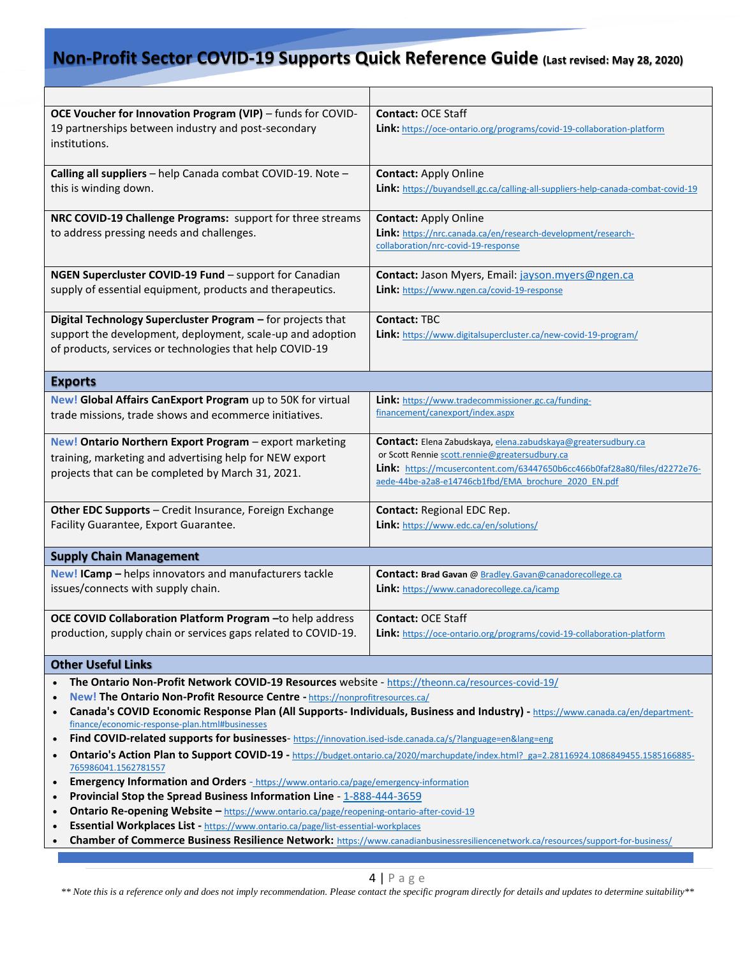| OCE Voucher for Innovation Program (VIP) - funds for COVID-                                                                                                                                                 | <b>Contact: OCE Staff</b>                                                                                                         |  |
|-------------------------------------------------------------------------------------------------------------------------------------------------------------------------------------------------------------|-----------------------------------------------------------------------------------------------------------------------------------|--|
| 19 partnerships between industry and post-secondary                                                                                                                                                         | Link: https://oce-ontario.org/programs/covid-19-collaboration-platform                                                            |  |
| institutions.                                                                                                                                                                                               |                                                                                                                                   |  |
|                                                                                                                                                                                                             |                                                                                                                                   |  |
| Calling all suppliers - help Canada combat COVID-19. Note -                                                                                                                                                 | <b>Contact: Apply Online</b>                                                                                                      |  |
| this is winding down.                                                                                                                                                                                       | Link: https://buyandsell.gc.ca/calling-all-suppliers-help-canada-combat-covid-19                                                  |  |
|                                                                                                                                                                                                             |                                                                                                                                   |  |
| NRC COVID-19 Challenge Programs: support for three streams                                                                                                                                                  | <b>Contact: Apply Online</b>                                                                                                      |  |
| to address pressing needs and challenges.                                                                                                                                                                   | Link: https://nrc.canada.ca/en/research-development/research-                                                                     |  |
|                                                                                                                                                                                                             | collaboration/nrc-covid-19-response                                                                                               |  |
| NGEN Supercluster COVID-19 Fund - support for Canadian                                                                                                                                                      | Contact: Jason Myers, Email: jayson.myers@ngen.ca                                                                                 |  |
| supply of essential equipment, products and therapeutics.                                                                                                                                                   | Link: https://www.ngen.ca/covid-19-response                                                                                       |  |
|                                                                                                                                                                                                             |                                                                                                                                   |  |
| Digital Technology Supercluster Program - for projects that                                                                                                                                                 | <b>Contact: TBC</b>                                                                                                               |  |
| support the development, deployment, scale-up and adoption                                                                                                                                                  | Link: https://www.digitalsupercluster.ca/new-covid-19-program/                                                                    |  |
| of products, services or technologies that help COVID-19                                                                                                                                                    |                                                                                                                                   |  |
|                                                                                                                                                                                                             |                                                                                                                                   |  |
| <b>Exports</b>                                                                                                                                                                                              |                                                                                                                                   |  |
| New! Global Affairs CanExport Program up to 50K for virtual                                                                                                                                                 | Link: https://www.tradecommissioner.gc.ca/funding-                                                                                |  |
| trade missions, trade shows and ecommerce initiatives.                                                                                                                                                      | financement/canexport/index.aspx                                                                                                  |  |
|                                                                                                                                                                                                             |                                                                                                                                   |  |
| New! Ontario Northern Export Program - export marketing                                                                                                                                                     | Contact: Elena Zabudskaya, elena.zabudskaya@greatersudbury.ca                                                                     |  |
| training, marketing and advertising help for NEW export                                                                                                                                                     | or Scott Rennie scott.rennie@greatersudbury.ca                                                                                    |  |
| projects that can be completed by March 31, 2021.                                                                                                                                                           | Link: https://mcusercontent.com/63447650b6cc466b0faf28a80/files/d2272e76-<br>aede-44be-a2a8-e14746cb1fbd/EMA brochure 2020 EN.pdf |  |
|                                                                                                                                                                                                             |                                                                                                                                   |  |
| Other EDC Supports - Credit Insurance, Foreign Exchange                                                                                                                                                     | Contact: Regional EDC Rep.                                                                                                        |  |
| Facility Guarantee, Export Guarantee.                                                                                                                                                                       | Link: https://www.edc.ca/en/solutions/                                                                                            |  |
|                                                                                                                                                                                                             |                                                                                                                                   |  |
| <b>Supply Chain Management</b>                                                                                                                                                                              |                                                                                                                                   |  |
| New! ICamp - helps innovators and manufacturers tackle                                                                                                                                                      | Contact: Brad Gavan @ Bradley.Gavan@canadorecollege.ca                                                                            |  |
| issues/connects with supply chain.                                                                                                                                                                          | Link: https://www.canadorecollege.ca/icamp                                                                                        |  |
|                                                                                                                                                                                                             |                                                                                                                                   |  |
| OCE COVID Collaboration Platform Program - to help address                                                                                                                                                  | <b>Contact: OCE Staff</b>                                                                                                         |  |
| production, supply chain or services gaps related to COVID-19.                                                                                                                                              | Link: https://oce-ontario.org/programs/covid-19-collaboration-platform                                                            |  |
| <b>Other Useful Links</b>                                                                                                                                                                                   |                                                                                                                                   |  |
|                                                                                                                                                                                                             |                                                                                                                                   |  |
| The Ontario Non-Profit Network COVID-19 Resources website - https://theonn.ca/resources-covid-19/<br>$\bullet$<br>New! The Ontario Non-Profit Resource Centre - https://nonprofitresources.ca/<br>$\bullet$ |                                                                                                                                   |  |
| Canada's COVID Economic Response Plan (All Supports- Individuals, Business and Industry) - https://www.canada.ca/en/department-<br>$\bullet$                                                                |                                                                                                                                   |  |
| finance/economic-response-plan.html#businesses                                                                                                                                                              |                                                                                                                                   |  |

- **Find COVID-related supports for businesses** <https://innovation.ised-isde.canada.ca/s/?language=en&lang=eng>
- **Ontario's Action Plan to Support COVID-19** https://budget.ontario.ca/2020/marchupdate/index.html? ga=2.28116924.1086849455.1585166885-[765986041.1562781557](https://budget.ontario.ca/2020/marchupdate/index.html?_ga=2.28116924.1086849455.1585166885-765986041.1562781557)
- **Emergency Information and Orders** https://www.ontario.ca/page/emergency-information
- **Provincial Stop the Spread Business Information Line 1-888-444-3659**
- **Ontario Re-opening Website –** <https://www.ontario.ca/page/reopening-ontario-after-covid-19>
- **Essential Workplaces List -** <https://www.ontario.ca/page/list-essential-workplaces>
- [Grab your reader's attention with a great quote from the document or use this space to emphasize a key point. **Chamber of Commerce Business Resilience Network:** <https://www.canadianbusinessresiliencenetwork.ca/resources/support-for-business/>

#### $4 | P \text{age}$

*\*\* Note this is a reference only and does not imply recommendation. Please contact the specific program directly for details and updates to determine suitability\*\**